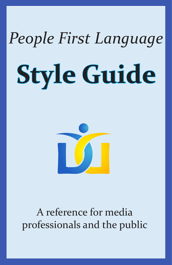# **Style Guide** *People First Language*



A reference for media professionals and the public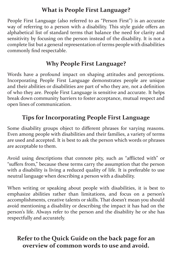#### **What is People First Language?**

People First Language (also referred to as "Person First") is an accurate way of referring to a person with a disability. This style guide offers an alphabetical list of standard terms that balance the need for clarity and sensitivity by focusing on the person instead of the disability. It is not a complete list but a general representation of terms people with disabilities commonly find respectable.

#### **Why People First Language?**

Words have a profound impact on shaping attitudes and perceptions. Incorporating People First Language demonstrates people are unique and their abilities or disabilities are part of who they are, not a definition of who they are. People First Language is sensitive and accurate. It helps break down community barriers to foster acceptance, mutual respect and open lines of communication.

#### **Tips for Incorporating People First Language**

Some disability groups object to different phrases for varying reasons. Even among people with disabilities and their families, a variety of terms are used and accepted. It is best to ask the person which words or phrases are acceptable to them.

Avoid using descriptions that connote pity, such as "afflicted with" or "suffers from," because these terms carry the assumption that the person with a disability is living a reduced quality of life. It is preferable to use neutral language when describing a person with a disability.

When writing or speaking about people with disabilities, it is best to emphasize abilities rather than limitations, and focus on a person's accomplishments, creative talents or skills. That doesn't mean you should avoid mentioning a disability or describing the impact it has had on the person's life. Always refer to the person and the disability he or she has respectfully and accurately.

#### **Refer to the Quick Guide on the back page for an overview of common words to use and avoid.**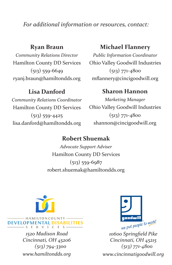*For additional information or resources, contact:*

#### **Ryan Braun**

*Community Relations Director* Hamilton County DD Services (513) 559-6649 ryanj.braun@hamiltondds.org

#### **Michael Flannery**

*Public Information Coordinator* Ohio Valley Goodwill Industries (513) 771-4800 mflannery@cincigoodwill.org

#### **Lisa Danford**

*Community Relations Coordinator* Hamilton County DD Services (513) 559-4425 lisa.danford@hamiltondds.org

#### **Sharon Hannon**

*Marketing Manager* Ohio Valley Goodwill Industries (513) 771-4800 shannon@cincigoodwill.org

#### **Robert Shuemak**

*Advocate Support Adviser* Hamilton County DD Services (513) 559-6987 robert.shuemak@hamiltondds.org



*1520 Madison Road Cincinnati, OH 45206 (513) 794-3300 www.hamiltondds.org*

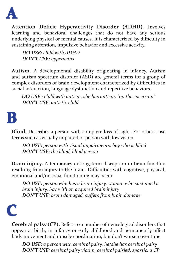

**Attention Deficit Hyperactivity Disorder (ADHD)**. Involves learning and behavioral challenges that do not have any serious underlying physical or mental causes. It is characterized by difficulty in sustaining attention, impulsive behavior and excessive activity.

*DO USE: child with ADHD DON'T USE: hyperactive*

**Autism.** A developmental disability originating in infancy. Autism and autism spectrum disorder (ASD) are general terms for a group of complex disorders of brain development characterized by difficulties in social interaction, language dysfunction and repetitive behaviors.

*DO USE : child with autism, she has autism, "on the spectrum" DON'T USE*: *autistic child*

### **B**

**Blind.** Describes a person with complete loss of sight. For others, use terms such as visually impaired or person with low vision.

*DO USE: person with visual impairments, boy who is blind DON'T USE: the blind, blind person*

**Brain injury.** A temporary or long-term disruption in brain function resulting from injury to the brain. Difficulties with cognitive, physical, emotional and/or social functioning may occur.

*DO USE: person who has a brain injury, woman who sustained a brain injury, boy with an acquired brain injury DON'T USE: brain damaged, suffers from brain damage*

## **C**

**Cerebral palsy (CP).** Refers to a number of neurological disorders that appear at birth, in infancy or early childhood and permanently affect body movement and muscle coordination, but don't worsen over time.

*DO USE: a person with cerebral palsy, he/she has cerebral palsy DON'T USE: cerebral palsy victim, cerebral palsied, spastic, a CP*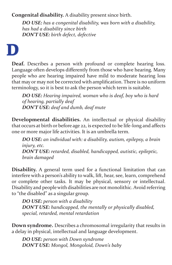**Congenital disability.** A disability present since birth.

*DO USE: has a congenital disability, was born with a disability, has had a disability since birth DON'T USE: birth defect, defective*

### **D**

**Deaf.** Describes a person with profound or complete hearing loss. Language often develops differently from those who have hearing. Many people who are hearing impaired have mild to moderate hearing loss that may or may not be corrected with amplification. There is no uniform terminology, so it is best to ask the person which term is suitable.

*DO USE: Hearing impaired, woman who is deaf, boy who is hard of hearing, partially deaf DON'T USE: deaf and dumb, deaf mute*

**Developmental disabilities.** An intellectual or physical disability that occurs at birth or before age 22, is expected to be life-long and affects one or more major life activities. It is an umbrella term.

*DO USE: an individual with: a disability, autism, epilepsy, a brain injury, etc. DON'T USE: retarded, disabled, handicapped, autistic, epileptic, brain damaged*

**Disability.** A general term used for a functional limitation that can interfere with a person's ability to walk, lift, hear, see, learn, comprehend or complete other tasks. It may be physical, sensory or intellectual. Disability and people with disabilities are not monolithic. Avoid referring to "the disabled" as a singular group.

*DO USE: person with a disability DON'T USE: handicapped, the mentally or physically disabled, special, retarded, mental retardation*

**Down syndrome.** Describes a chromosomal irregularity that results in a delay in physical, intellectual and language development.

*DO USE: person with Down syndrome DON'T USE: Mongol, Mongoloid, Down's baby*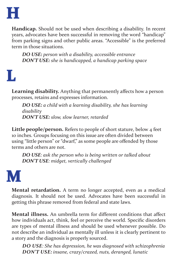

**Handicap.** Should not be used when describing a disability. In recent years, advocates have been successful in removing the word "handicap" from parking signs and other public areas. "Accessible" is the preferred term in those situations.

*DO USE: person with a disability, accessible entrance DON'T USE: she is handicapped, a handicap parking space*

### **L**

**Learning disability.** Anything that permanently affects how a person processes, retains and expresses information.

*DO USE: a child with a learning disability, she has learning disability DON'T USE: slow, slow learner, retarded*

Little people/person. Refers to people of short stature, below 4 feet 10 inches. Groups focusing on this issue are often divided between using "little person" or "dwarf," as some people are offended by those terms and others are not.

*DO USE: ask the person who is being written or talked about DON'T USE: midget, vertically challenged*

### **M**

**Mental retardation.** A term no longer accepted, even as a medical diagnosis. It should not be used. Advocates have been successful in getting this phrase removed from federal and state laws.

**Mental illness.** An umbrella term for different conditions that affect how individuals act, think, feel or perceive the world. Specific disorders are types of mental illness and should be used whenever possible. Do not describe an individual as mentally ill unless it is clearly pertinent to a story and the diagnosis is properly sourced.

*DO USE: She has depression, he was diagnosed with schizophrenia DON'T USE: insane, crazy/crazed, nuts, deranged, lunatic*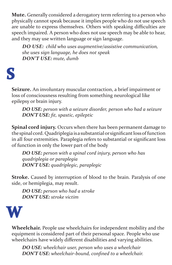**Mute.** Generally considered a derogatory term referring to a person who physically cannot speak because it implies people who do not use speech are unable to express themselves. Others with speaking difficulties are speech impaired. A person who does not use speech may be able to hear, and they may use written language or sign language.

*DO USE: child who uses augmentive/assistive communication, she uses sign language, he does not speak DON'T USE: mute, dumb*

### **S**

**Seizure.** An involuntary muscular contraction, a brief impairment or loss of consciousness resulting from something neurological like epilepsy or brain injury.

*DO USE: person with a seizure disorder, person who had a seizure DON'T USE: fit, spastic, epileptic*

**Spinal cord injury.** Occurs when there has been permanent damage to the spinal cord. Quadriplegia is a substantial or significant loss of function in all four extremities. Paraplegia refers to substantial or significant loss of function in only the lower part of the body

*DO USE: person with a spinal cord injury, person who has quadriplegia or paraplegia DON'T USE: quadriplegic, paraplegic*

**Stroke.** Caused by interruption of blood to the brain. Paralysis of one side, or hemiplegia, may result.

*DO USE: person who had a stroke DON'T USE: stroke victim*



**Wheelchair.** People use wheelchairs for independent mobility and the equipment is considered part of their personal space. People who use wheelchairs have widely different disabilities and varying abilities.

*DO USE: wheelchair user, person who uses a wheelchair DON'T USE: wheelchair-bound, confined to a wheelchair.*